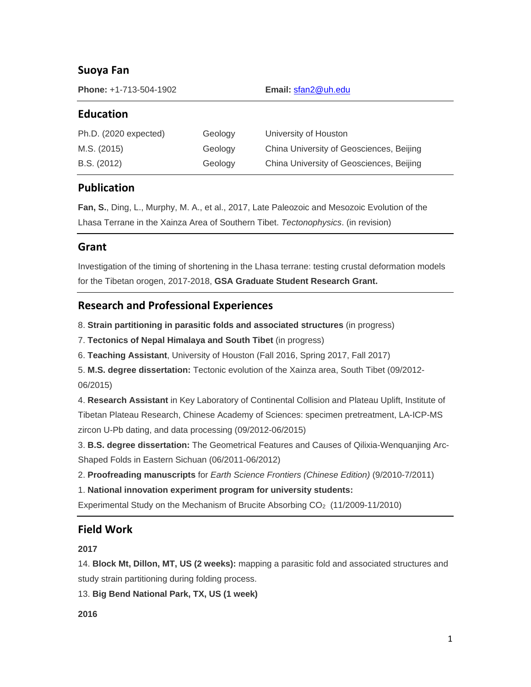# **Suoya Fan**

**Phone:** +1-713-504-1902 **Email:** [sfan2@uh.edu](mailto:sfan2@uh.edu)

### **Education**

| Ph.D. (2020 expected) | Geology | University of Houston                    |
|-----------------------|---------|------------------------------------------|
| M.S. (2015)           | Geology | China University of Geosciences, Beijing |
| B.S. (2012)           | Geology | China University of Geosciences, Beijing |

## **Publication**

**Fan, S.**, Ding, L., Murphy, M. A., et al., 2017, Late Paleozoic and Mesozoic Evolution of the Lhasa Terrane in the Xainza Area of Southern Tibet. *Tectonophysics*. (in revision)

## **Grant**

Investigation of the timing of shortening in the Lhasa terrane: testing crustal deformation models for the Tibetan orogen, 2017-2018, **GSA Graduate Student Research Grant.**

# **Research and Professional Experiences**

8. **Strain partitioning in parasitic folds and associated structures** (in progress)

7. **Tectonics of Nepal Himalaya and South Tibet** (in progress)

6. **Teaching Assistant**, University of Houston (Fall 2016, Spring 2017, Fall 2017)

5. **M.S. degree dissertation:** Tectonic evolution of the Xainza area, South Tibet (09/2012- 06/2015)

4. **Research Assistant** in Key Laboratory of Continental Collision and Plateau Uplift, Institute of Tibetan Plateau Research, Chinese Academy of Sciences: specimen pretreatment, LA-ICP-MS zircon U-Pb dating, and data processing (09/2012-06/2015)

3. **B.S. degree dissertation:** The Geometrical Features and Causes of Qilixia-Wenquanjing Arc-Shaped Folds in Eastern Sichuan (06/2011-06/2012)

2. **Proofreading manuscripts** for *Earth Science Frontiers (Chinese Edition)* (9/2010-7/2011)

1. **National innovation experiment program for university students:**

Experimental Study on the Mechanism of Brucite Absorbing CO2 (11/2009-11/2010)

## **Field Work**

### **2017**

14. **Block Mt, Dillon, MT, US (2 weeks):** mapping a parasitic fold and associated structures and study strain partitioning during folding process.

13. **Big Bend National Park, TX, US (1 week)**

**2016**